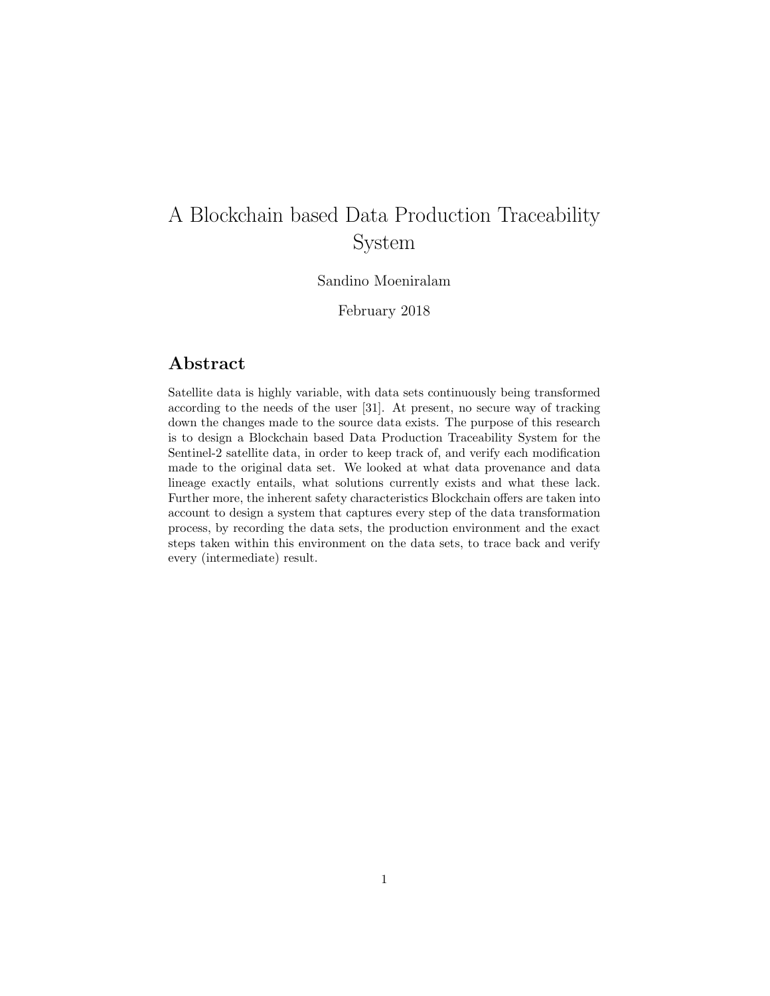# A Blockchain based Data Production Traceability System

## Sandino Moeniralam

February 2018

# Abstract

Satellite data is highly variable, with data sets continuously being transformed according to the needs of the user [31]. At present, no secure way of tracking down the changes made to the source data exists. The purpose of this research is to design a Blockchain based Data Production Traceability System for the Sentinel-2 satellite data, in order to keep track of, and verify each modification made to the original data set. We looked at what data provenance and data lineage exactly entails, what solutions currently exists and what these lack. Further more, the inherent safety characteristics Blockchain offers are taken into account to design a system that captures every step of the data transformation process, by recording the data sets, the production environment and the exact steps taken within this environment on the data sets, to trace back and verify every (intermediate) result.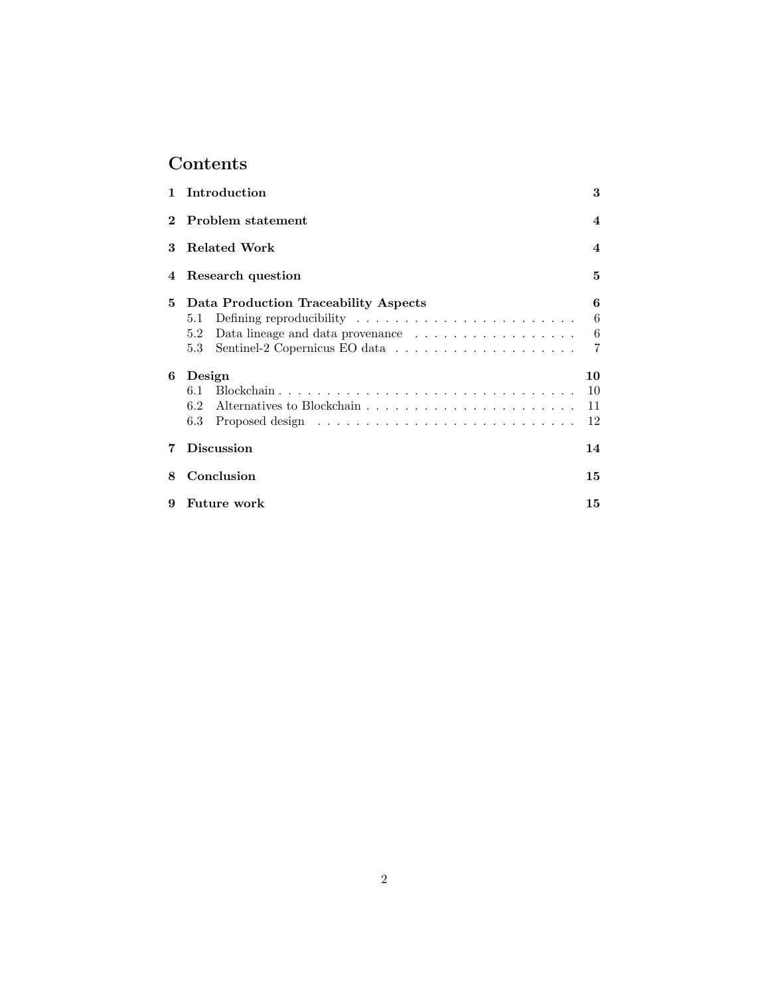# Contents

|   | 1 Introduction                                            | 3                                   |  |  |
|---|-----------------------------------------------------------|-------------------------------------|--|--|
|   | 2 Problem statement<br><b>Related Work</b>                |                                     |  |  |
| 3 |                                                           |                                     |  |  |
|   | 5<br>4 Research question                                  |                                     |  |  |
| 5 | Data Production Traceability Aspects<br>5.1<br>5.2<br>5.3 | 6<br>6<br>$\,6\,$<br>$\overline{7}$ |  |  |
| 6 | Design<br>6.1<br>6.2<br>6.3                               | 10<br>10<br>11<br>12                |  |  |
| 7 | <b>Discussion</b>                                         |                                     |  |  |
| 8 | Conclusion                                                |                                     |  |  |
| 9 | <b>Future</b> work                                        | 15                                  |  |  |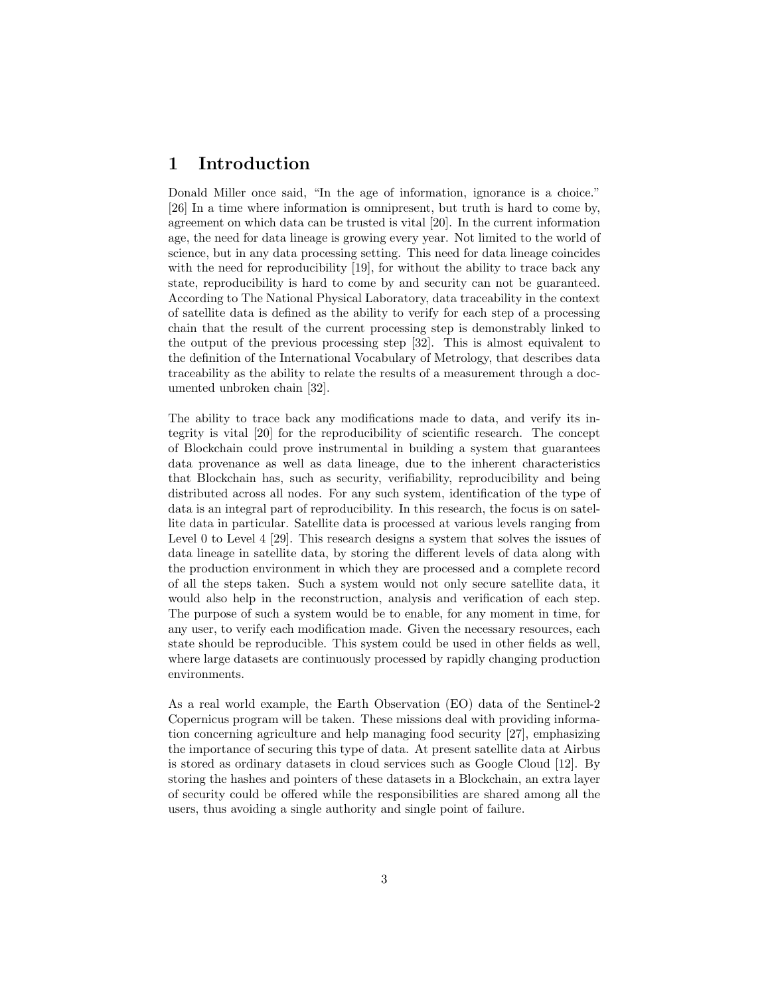# 1 Introduction

Donald Miller once said, "In the age of information, ignorance is a choice." [26] In a time where information is omnipresent, but truth is hard to come by, agreement on which data can be trusted is vital [20]. In the current information age, the need for data lineage is growing every year. Not limited to the world of science, but in any data processing setting. This need for data lineage coincides with the need for reproducibility [19], for without the ability to trace back any state, reproducibility is hard to come by and security can not be guaranteed. According to The National Physical Laboratory, data traceability in the context of satellite data is defined as the ability to verify for each step of a processing chain that the result of the current processing step is demonstrably linked to the output of the previous processing step [32]. This is almost equivalent to the definition of the International Vocabulary of Metrology, that describes data traceability as the ability to relate the results of a measurement through a documented unbroken chain [32].

The ability to trace back any modifications made to data, and verify its integrity is vital [20] for the reproducibility of scientific research. The concept of Blockchain could prove instrumental in building a system that guarantees data provenance as well as data lineage, due to the inherent characteristics that Blockchain has, such as security, verifiability, reproducibility and being distributed across all nodes. For any such system, identification of the type of data is an integral part of reproducibility. In this research, the focus is on satellite data in particular. Satellite data is processed at various levels ranging from Level 0 to Level 4 [29]. This research designs a system that solves the issues of data lineage in satellite data, by storing the different levels of data along with the production environment in which they are processed and a complete record of all the steps taken. Such a system would not only secure satellite data, it would also help in the reconstruction, analysis and verification of each step. The purpose of such a system would be to enable, for any moment in time, for any user, to verify each modification made. Given the necessary resources, each state should be reproducible. This system could be used in other fields as well, where large datasets are continuously processed by rapidly changing production environments.

As a real world example, the Earth Observation (EO) data of the Sentinel-2 Copernicus program will be taken. These missions deal with providing information concerning agriculture and help managing food security [27], emphasizing the importance of securing this type of data. At present satellite data at Airbus is stored as ordinary datasets in cloud services such as Google Cloud [12]. By storing the hashes and pointers of these datasets in a Blockchain, an extra layer of security could be offered while the responsibilities are shared among all the users, thus avoiding a single authority and single point of failure.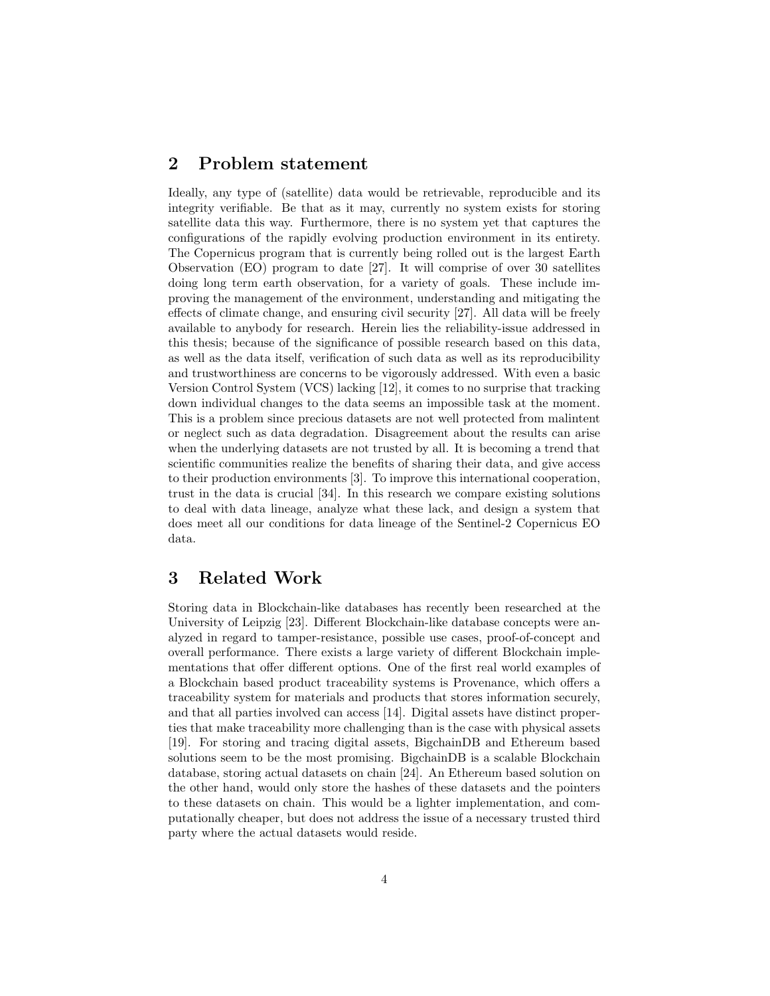## 2 Problem statement

Ideally, any type of (satellite) data would be retrievable, reproducible and its integrity verifiable. Be that as it may, currently no system exists for storing satellite data this way. Furthermore, there is no system yet that captures the configurations of the rapidly evolving production environment in its entirety. The Copernicus program that is currently being rolled out is the largest Earth Observation (EO) program to date [27]. It will comprise of over 30 satellites doing long term earth observation, for a variety of goals. These include improving the management of the environment, understanding and mitigating the effects of climate change, and ensuring civil security [27]. All data will be freely available to anybody for research. Herein lies the reliability-issue addressed in this thesis; because of the significance of possible research based on this data, as well as the data itself, verification of such data as well as its reproducibility and trustworthiness are concerns to be vigorously addressed. With even a basic Version Control System (VCS) lacking [12], it comes to no surprise that tracking down individual changes to the data seems an impossible task at the moment. This is a problem since precious datasets are not well protected from malintent or neglect such as data degradation. Disagreement about the results can arise when the underlying datasets are not trusted by all. It is becoming a trend that scientific communities realize the benefits of sharing their data, and give access to their production environments [3]. To improve this international cooperation, trust in the data is crucial [34]. In this research we compare existing solutions to deal with data lineage, analyze what these lack, and design a system that does meet all our conditions for data lineage of the Sentinel-2 Copernicus EO data.

# 3 Related Work

Storing data in Blockchain-like databases has recently been researched at the University of Leipzig [23]. Different Blockchain-like database concepts were analyzed in regard to tamper-resistance, possible use cases, proof-of-concept and overall performance. There exists a large variety of different Blockchain implementations that offer different options. One of the first real world examples of a Blockchain based product traceability systems is Provenance, which offers a traceability system for materials and products that stores information securely, and that all parties involved can access [14]. Digital assets have distinct properties that make traceability more challenging than is the case with physical assets [19]. For storing and tracing digital assets, BigchainDB and Ethereum based solutions seem to be the most promising. BigchainDB is a scalable Blockchain database, storing actual datasets on chain [24]. An Ethereum based solution on the other hand, would only store the hashes of these datasets and the pointers to these datasets on chain. This would be a lighter implementation, and computationally cheaper, but does not address the issue of a necessary trusted third party where the actual datasets would reside.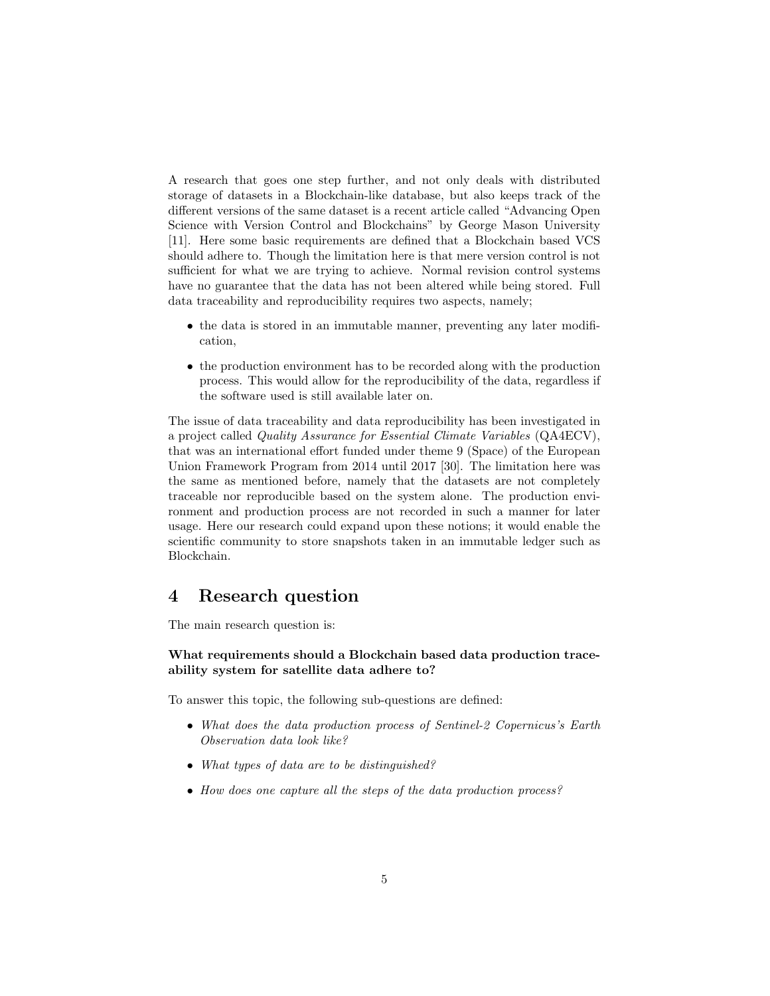A research that goes one step further, and not only deals with distributed storage of datasets in a Blockchain-like database, but also keeps track of the different versions of the same dataset is a recent article called "Advancing Open Science with Version Control and Blockchains" by George Mason University [11]. Here some basic requirements are defined that a Blockchain based VCS should adhere to. Though the limitation here is that mere version control is not sufficient for what we are trying to achieve. Normal revision control systems have no guarantee that the data has not been altered while being stored. Full data traceability and reproducibility requires two aspects, namely;

- the data is stored in an immutable manner, preventing any later modification,
- the production environment has to be recorded along with the production process. This would allow for the reproducibility of the data, regardless if the software used is still available later on.

The issue of data traceability and data reproducibility has been investigated in a project called Quality Assurance for Essential Climate Variables (QA4ECV), that was an international effort funded under theme 9 (Space) of the European Union Framework Program from 2014 until 2017 [30]. The limitation here was the same as mentioned before, namely that the datasets are not completely traceable nor reproducible based on the system alone. The production environment and production process are not recorded in such a manner for later usage. Here our research could expand upon these notions; it would enable the scientific community to store snapshots taken in an immutable ledger such as Blockchain.

# 4 Research question

The main research question is:

## What requirements should a Blockchain based data production traceability system for satellite data adhere to?

To answer this topic, the following sub-questions are defined:

- What does the data production process of Sentinel-2 Copernicus's Earth Observation data look like?
- What types of data are to be distinguished?
- How does one capture all the steps of the data production process?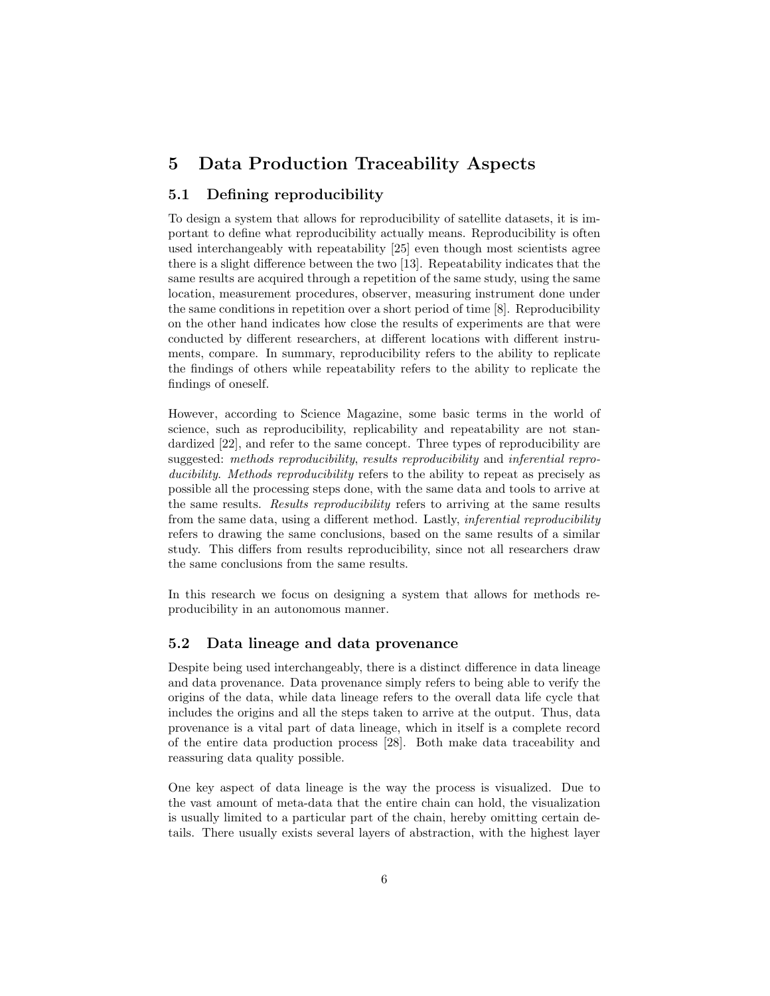# 5 Data Production Traceability Aspects

## 5.1 Defining reproducibility

To design a system that allows for reproducibility of satellite datasets, it is important to define what reproducibility actually means. Reproducibility is often used interchangeably with repeatability [25] even though most scientists agree there is a slight difference between the two [13]. Repeatability indicates that the same results are acquired through a repetition of the same study, using the same location, measurement procedures, observer, measuring instrument done under the same conditions in repetition over a short period of time [8]. Reproducibility on the other hand indicates how close the results of experiments are that were conducted by different researchers, at different locations with different instruments, compare. In summary, reproducibility refers to the ability to replicate the findings of others while repeatability refers to the ability to replicate the findings of oneself.

However, according to Science Magazine, some basic terms in the world of science, such as reproducibility, replicability and repeatability are not standardized [22], and refer to the same concept. Three types of reproducibility are suggested: methods reproducibility, results reproducibility and inferential reproducibility. Methods reproducibility refers to the ability to repeat as precisely as possible all the processing steps done, with the same data and tools to arrive at the same results. Results reproducibility refers to arriving at the same results from the same data, using a different method. Lastly, inferential reproducibility refers to drawing the same conclusions, based on the same results of a similar study. This differs from results reproducibility, since not all researchers draw the same conclusions from the same results.

In this research we focus on designing a system that allows for methods reproducibility in an autonomous manner.

## 5.2 Data lineage and data provenance

Despite being used interchangeably, there is a distinct difference in data lineage and data provenance. Data provenance simply refers to being able to verify the origins of the data, while data lineage refers to the overall data life cycle that includes the origins and all the steps taken to arrive at the output. Thus, data provenance is a vital part of data lineage, which in itself is a complete record of the entire data production process [28]. Both make data traceability and reassuring data quality possible.

One key aspect of data lineage is the way the process is visualized. Due to the vast amount of meta-data that the entire chain can hold, the visualization is usually limited to a particular part of the chain, hereby omitting certain details. There usually exists several layers of abstraction, with the highest layer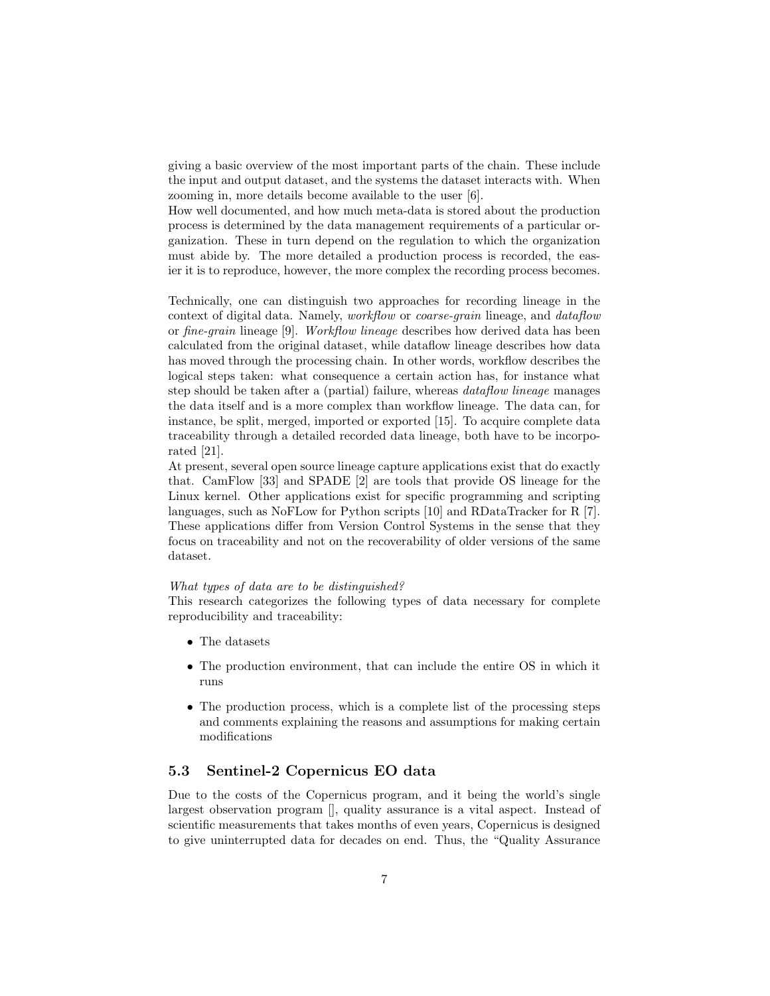giving a basic overview of the most important parts of the chain. These include the input and output dataset, and the systems the dataset interacts with. When zooming in, more details become available to the user [6].

How well documented, and how much meta-data is stored about the production process is determined by the data management requirements of a particular organization. These in turn depend on the regulation to which the organization must abide by. The more detailed a production process is recorded, the easier it is to reproduce, however, the more complex the recording process becomes.

Technically, one can distinguish two approaches for recording lineage in the context of digital data. Namely, workflow or coarse-grain lineage, and dataflow or fine-grain lineage [9]. Workflow lineage describes how derived data has been calculated from the original dataset, while dataflow lineage describes how data has moved through the processing chain. In other words, workflow describes the logical steps taken: what consequence a certain action has, for instance what step should be taken after a (partial) failure, whereas dataflow lineage manages the data itself and is a more complex than workflow lineage. The data can, for instance, be split, merged, imported or exported [15]. To acquire complete data traceability through a detailed recorded data lineage, both have to be incorporated [21].

At present, several open source lineage capture applications exist that do exactly that. CamFlow [33] and SPADE [2] are tools that provide OS lineage for the Linux kernel. Other applications exist for specific programming and scripting languages, such as NoFLow for Python scripts [10] and RDataTracker for R [7]. These applications differ from Version Control Systems in the sense that they focus on traceability and not on the recoverability of older versions of the same dataset.

#### What types of data are to be distinguished?

This research categorizes the following types of data necessary for complete reproducibility and traceability:

- The datasets
- The production environment, that can include the entire OS in which it runs
- The production process, which is a complete list of the processing steps and comments explaining the reasons and assumptions for making certain modifications

## 5.3 Sentinel-2 Copernicus EO data

Due to the costs of the Copernicus program, and it being the world's single largest observation program [], quality assurance is a vital aspect. Instead of scientific measurements that takes months of even years, Copernicus is designed to give uninterrupted data for decades on end. Thus, the "Quality Assurance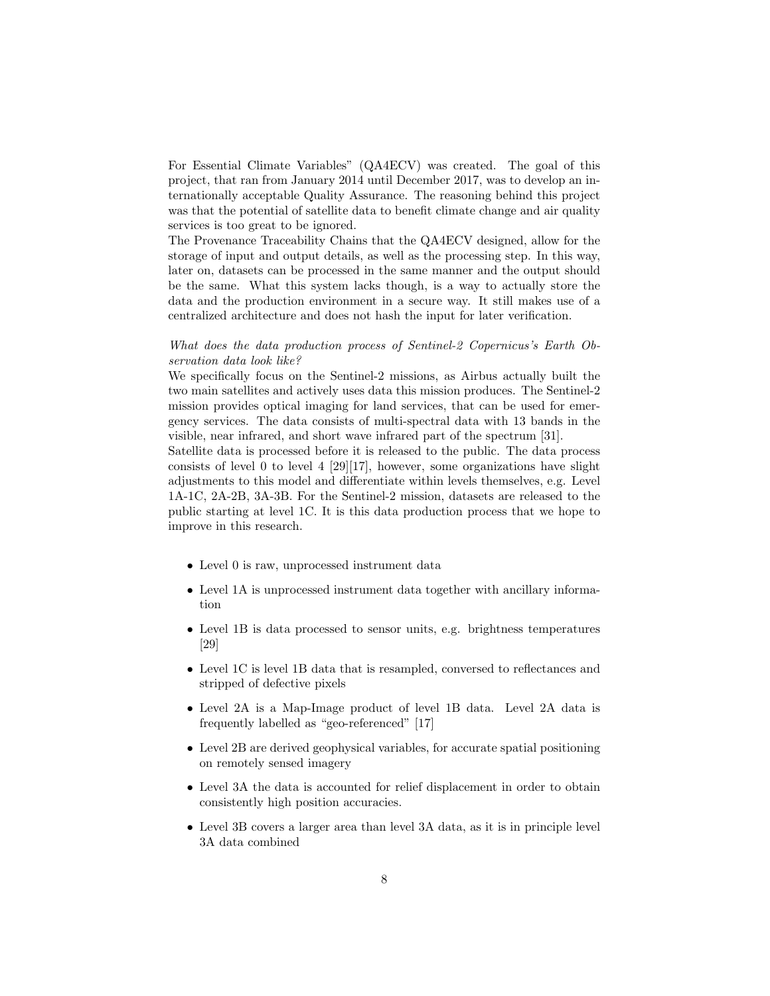For Essential Climate Variables" (QA4ECV) was created. The goal of this project, that ran from January 2014 until December 2017, was to develop an internationally acceptable Quality Assurance. The reasoning behind this project was that the potential of satellite data to benefit climate change and air quality services is too great to be ignored.

The Provenance Traceability Chains that the QA4ECV designed, allow for the storage of input and output details, as well as the processing step. In this way, later on, datasets can be processed in the same manner and the output should be the same. What this system lacks though, is a way to actually store the data and the production environment in a secure way. It still makes use of a centralized architecture and does not hash the input for later verification.

## What does the data production process of Sentinel-2 Copernicus's Earth Observation data look like?

We specifically focus on the Sentinel-2 missions, as Airbus actually built the two main satellites and actively uses data this mission produces. The Sentinel-2 mission provides optical imaging for land services, that can be used for emergency services. The data consists of multi-spectral data with 13 bands in the visible, near infrared, and short wave infrared part of the spectrum [31].

Satellite data is processed before it is released to the public. The data process consists of level 0 to level 4  $[29][17]$ , however, some organizations have slight adjustments to this model and differentiate within levels themselves, e.g. Level 1A-1C, 2A-2B, 3A-3B. For the Sentinel-2 mission, datasets are released to the public starting at level 1C. It is this data production process that we hope to improve in this research.

- Level 0 is raw, unprocessed instrument data
- Level 1A is unprocessed instrument data together with ancillary information
- Level 1B is data processed to sensor units, e.g. brightness temperatures [29]
- Level 1C is level 1B data that is resampled, conversed to reflectances and stripped of defective pixels
- Level 2A is a Map-Image product of level 1B data. Level 2A data is frequently labelled as "geo-referenced" [17]
- Level 2B are derived geophysical variables, for accurate spatial positioning on remotely sensed imagery
- Level 3A the data is accounted for relief displacement in order to obtain consistently high position accuracies.
- Level 3B covers a larger area than level 3A data, as it is in principle level 3A data combined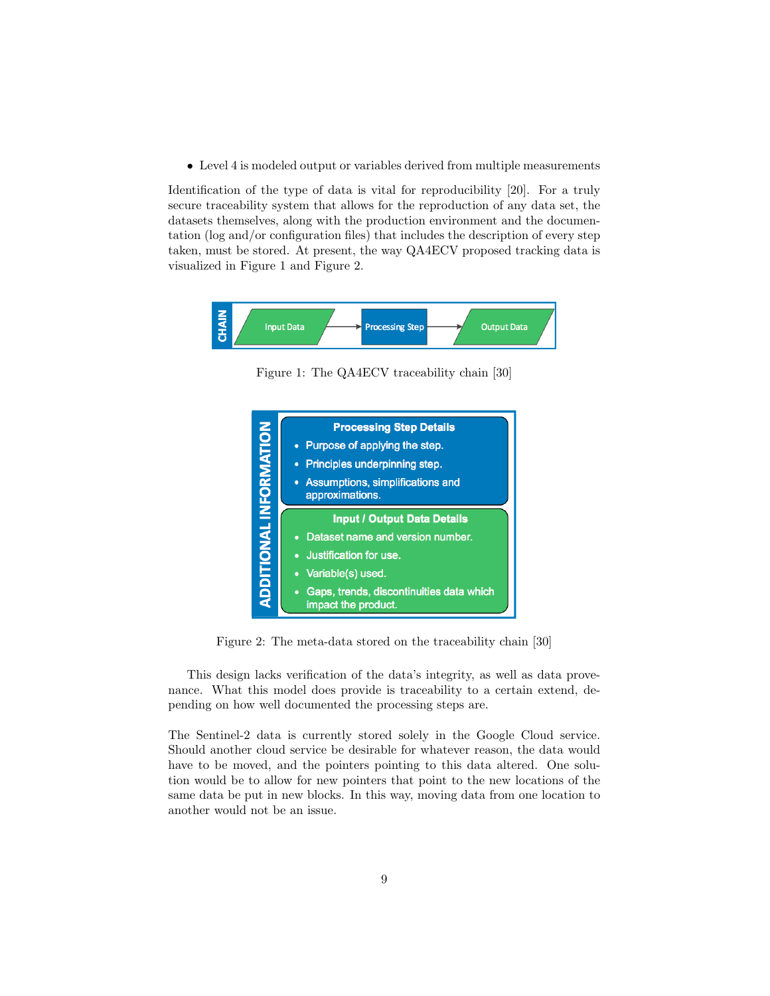• Level 4 is modeled output or variables derived from multiple measurements

Identification of the type of data is vital for reproducibility [20]. For a truly secure traceability system that allows for the reproduction of any data set, the datasets themselves, along with the production environment and the documentation (log and/or configuration files) that includes the description of every step taken, must be stored. At present, the way QA4ECV proposed tracking data is visualized in Figure 1 and Figure 2.



Figure 1: The QA4ECV traceability chain [30]



Figure 2: The meta-data stored on the traceability chain [30]

This design lacks verification of the data's integrity, as well as data provenance. What this model does provide is traceability to a certain extend, depending on how well documented the processing steps are.

The Sentinel-2 data is currently stored solely in the Google Cloud service. Should another cloud service be desirable for whatever reason, the data would have to be moved, and the pointers pointing to this data altered. One solution would be to allow for new pointers that point to the new locations of the same data be put in new blocks. In this way, moving data from one location to another would not be an issue.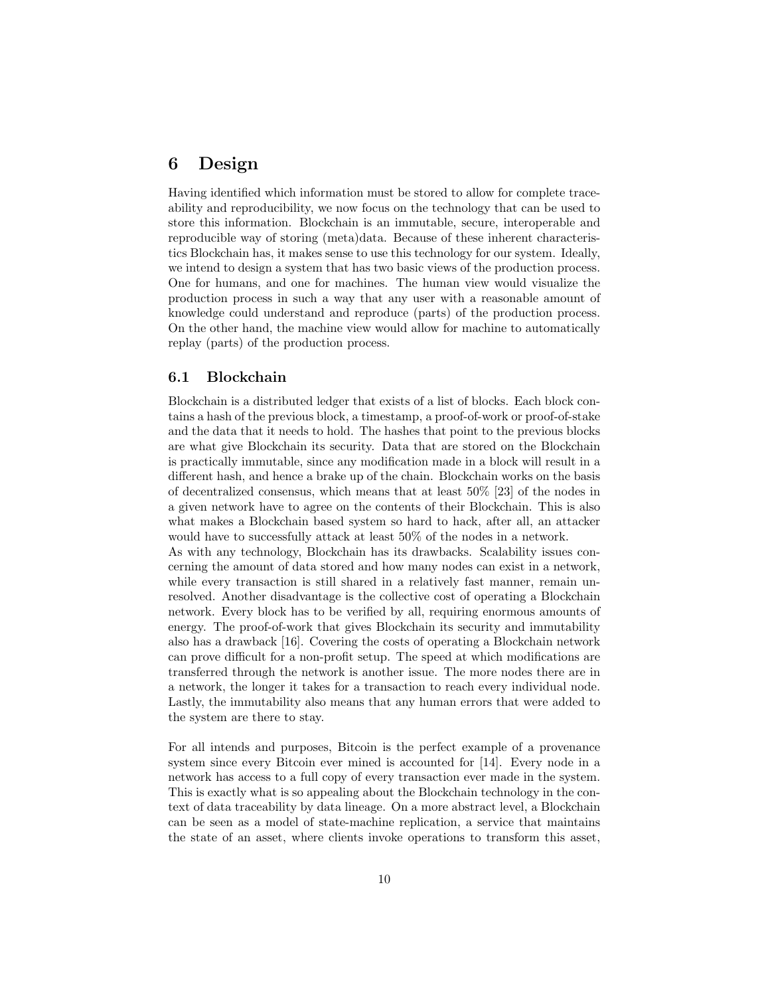# 6 Design

Having identified which information must be stored to allow for complete traceability and reproducibility, we now focus on the technology that can be used to store this information. Blockchain is an immutable, secure, interoperable and reproducible way of storing (meta)data. Because of these inherent characteristics Blockchain has, it makes sense to use this technology for our system. Ideally, we intend to design a system that has two basic views of the production process. One for humans, and one for machines. The human view would visualize the production process in such a way that any user with a reasonable amount of knowledge could understand and reproduce (parts) of the production process. On the other hand, the machine view would allow for machine to automatically replay (parts) of the production process.

## 6.1 Blockchain

Blockchain is a distributed ledger that exists of a list of blocks. Each block contains a hash of the previous block, a timestamp, a proof-of-work or proof-of-stake and the data that it needs to hold. The hashes that point to the previous blocks are what give Blockchain its security. Data that are stored on the Blockchain is practically immutable, since any modification made in a block will result in a different hash, and hence a brake up of the chain. Blockchain works on the basis of decentralized consensus, which means that at least 50% [23] of the nodes in a given network have to agree on the contents of their Blockchain. This is also what makes a Blockchain based system so hard to hack, after all, an attacker would have to successfully attack at least 50% of the nodes in a network.

As with any technology, Blockchain has its drawbacks. Scalability issues concerning the amount of data stored and how many nodes can exist in a network, while every transaction is still shared in a relatively fast manner, remain unresolved. Another disadvantage is the collective cost of operating a Blockchain network. Every block has to be verified by all, requiring enormous amounts of energy. The proof-of-work that gives Blockchain its security and immutability also has a drawback [16]. Covering the costs of operating a Blockchain network can prove difficult for a non-profit setup. The speed at which modifications are transferred through the network is another issue. The more nodes there are in a network, the longer it takes for a transaction to reach every individual node. Lastly, the immutability also means that any human errors that were added to the system are there to stay.

For all intends and purposes, Bitcoin is the perfect example of a provenance system since every Bitcoin ever mined is accounted for [14]. Every node in a network has access to a full copy of every transaction ever made in the system. This is exactly what is so appealing about the Blockchain technology in the context of data traceability by data lineage. On a more abstract level, a Blockchain can be seen as a model of state-machine replication, a service that maintains the state of an asset, where clients invoke operations to transform this asset,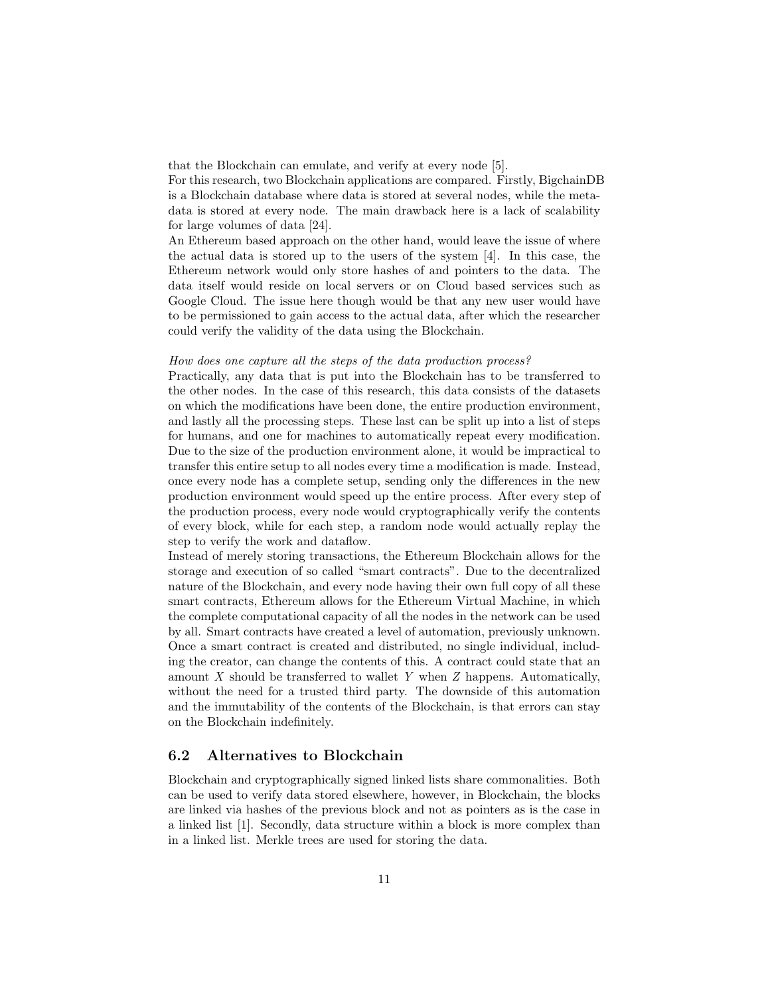that the Blockchain can emulate, and verify at every node [5].

For this research, two Blockchain applications are compared. Firstly, BigchainDB is a Blockchain database where data is stored at several nodes, while the metadata is stored at every node. The main drawback here is a lack of scalability for large volumes of data [24].

An Ethereum based approach on the other hand, would leave the issue of where the actual data is stored up to the users of the system [4]. In this case, the Ethereum network would only store hashes of and pointers to the data. The data itself would reside on local servers or on Cloud based services such as Google Cloud. The issue here though would be that any new user would have to be permissioned to gain access to the actual data, after which the researcher could verify the validity of the data using the Blockchain.

#### How does one capture all the steps of the data production process?

Practically, any data that is put into the Blockchain has to be transferred to the other nodes. In the case of this research, this data consists of the datasets on which the modifications have been done, the entire production environment, and lastly all the processing steps. These last can be split up into a list of steps for humans, and one for machines to automatically repeat every modification. Due to the size of the production environment alone, it would be impractical to transfer this entire setup to all nodes every time a modification is made. Instead, once every node has a complete setup, sending only the differences in the new production environment would speed up the entire process. After every step of the production process, every node would cryptographically verify the contents of every block, while for each step, a random node would actually replay the step to verify the work and dataflow.

Instead of merely storing transactions, the Ethereum Blockchain allows for the storage and execution of so called "smart contracts". Due to the decentralized nature of the Blockchain, and every node having their own full copy of all these smart contracts, Ethereum allows for the Ethereum Virtual Machine, in which the complete computational capacity of all the nodes in the network can be used by all. Smart contracts have created a level of automation, previously unknown. Once a smart contract is created and distributed, no single individual, including the creator, can change the contents of this. A contract could state that an amount  $X$  should be transferred to wallet  $Y$  when  $Z$  happens. Automatically, without the need for a trusted third party. The downside of this automation and the immutability of the contents of the Blockchain, is that errors can stay on the Blockchain indefinitely.

## 6.2 Alternatives to Blockchain

Blockchain and cryptographically signed linked lists share commonalities. Both can be used to verify data stored elsewhere, however, in Blockchain, the blocks are linked via hashes of the previous block and not as pointers as is the case in a linked list [1]. Secondly, data structure within a block is more complex than in a linked list. Merkle trees are used for storing the data.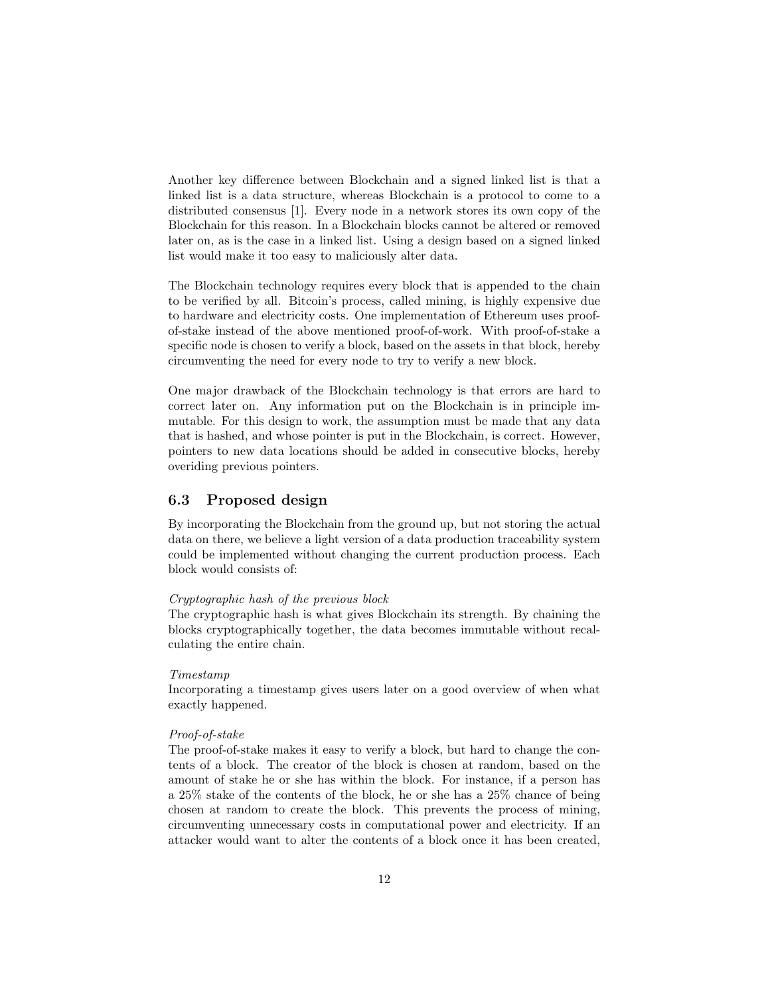Another key difference between Blockchain and a signed linked list is that a linked list is a data structure, whereas Blockchain is a protocol to come to a distributed consensus [1]. Every node in a network stores its own copy of the Blockchain for this reason. In a Blockchain blocks cannot be altered or removed later on, as is the case in a linked list. Using a design based on a signed linked list would make it too easy to maliciously alter data.

The Blockchain technology requires every block that is appended to the chain to be verified by all. Bitcoin's process, called mining, is highly expensive due to hardware and electricity costs. One implementation of Ethereum uses proofof-stake instead of the above mentioned proof-of-work. With proof-of-stake a specific node is chosen to verify a block, based on the assets in that block, hereby circumventing the need for every node to try to verify a new block.

One major drawback of the Blockchain technology is that errors are hard to correct later on. Any information put on the Blockchain is in principle immutable. For this design to work, the assumption must be made that any data that is hashed, and whose pointer is put in the Blockchain, is correct. However, pointers to new data locations should be added in consecutive blocks, hereby overiding previous pointers.

### 6.3 Proposed design

By incorporating the Blockchain from the ground up, but not storing the actual data on there, we believe a light version of a data production traceability system could be implemented without changing the current production process. Each block would consists of:

#### Cryptographic hash of the previous block

The cryptographic hash is what gives Blockchain its strength. By chaining the blocks cryptographically together, the data becomes immutable without recalculating the entire chain.

### Timestamp

Incorporating a timestamp gives users later on a good overview of when what exactly happened.

#### Proof-of-stake

The proof-of-stake makes it easy to verify a block, but hard to change the contents of a block. The creator of the block is chosen at random, based on the amount of stake he or she has within the block. For instance, if a person has a 25% stake of the contents of the block, he or she has a 25% chance of being chosen at random to create the block. This prevents the process of mining, circumventing unnecessary costs in computational power and electricity. If an attacker would want to alter the contents of a block once it has been created,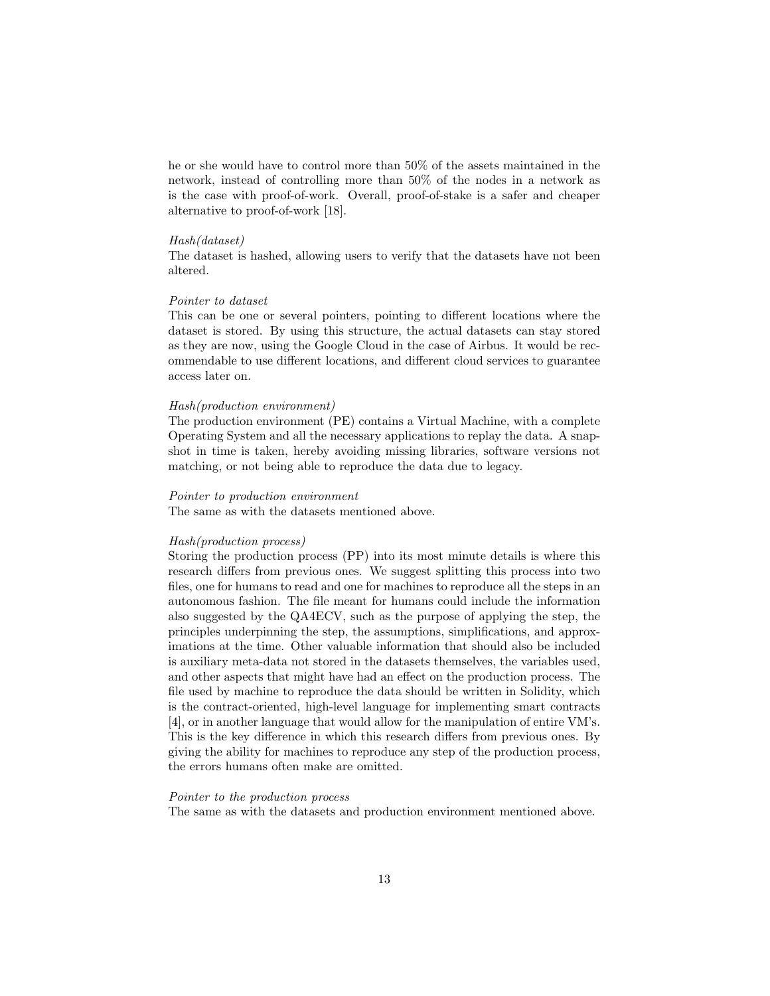he or she would have to control more than 50% of the assets maintained in the network, instead of controlling more than 50% of the nodes in a network as is the case with proof-of-work. Overall, proof-of-stake is a safer and cheaper alternative to proof-of-work [18].

#### Hash(dataset)

The dataset is hashed, allowing users to verify that the datasets have not been altered.

#### Pointer to dataset

This can be one or several pointers, pointing to different locations where the dataset is stored. By using this structure, the actual datasets can stay stored as they are now, using the Google Cloud in the case of Airbus. It would be recommendable to use different locations, and different cloud services to guarantee access later on.

#### Hash(production environment)

The production environment (PE) contains a Virtual Machine, with a complete Operating System and all the necessary applications to replay the data. A snapshot in time is taken, hereby avoiding missing libraries, software versions not matching, or not being able to reproduce the data due to legacy.

#### Pointer to production environment

The same as with the datasets mentioned above.

#### Hash(production process)

Storing the production process (PP) into its most minute details is where this research differs from previous ones. We suggest splitting this process into two files, one for humans to read and one for machines to reproduce all the steps in an autonomous fashion. The file meant for humans could include the information also suggested by the QA4ECV, such as the purpose of applying the step, the principles underpinning the step, the assumptions, simplifications, and approximations at the time. Other valuable information that should also be included is auxiliary meta-data not stored in the datasets themselves, the variables used, and other aspects that might have had an effect on the production process. The file used by machine to reproduce the data should be written in Solidity, which is the contract-oriented, high-level language for implementing smart contracts [4], or in another language that would allow for the manipulation of entire VM's. This is the key difference in which this research differs from previous ones. By giving the ability for machines to reproduce any step of the production process, the errors humans often make are omitted.

#### Pointer to the production process

The same as with the datasets and production environment mentioned above.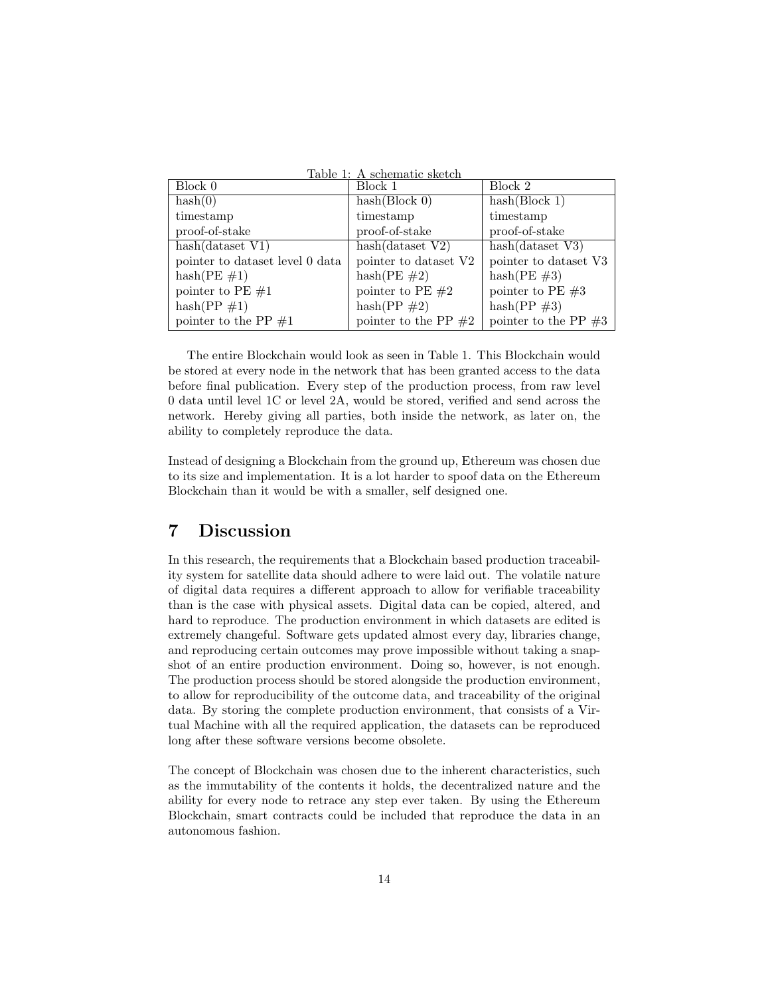| Table 1: A schematic sketch     |                        |                         |  |  |
|---------------------------------|------------------------|-------------------------|--|--|
| Block 0                         | Block 1                | Block 2                 |  |  |
| hash(0)                         | hash(Block 0)          | hash(Block 1)           |  |  |
| timestamp                       | timestamp              | timestamp               |  |  |
| proof-of-stake                  | proof-of-stake         | proof-of-stake          |  |  |
| hash(dataset V1)                | hash(dataset V2)       | hash(dataset V3)        |  |  |
| pointer to dataset level 0 data | pointer to dataset V2  | pointer to dataset V3   |  |  |
| $hash(PE \#1)$                  | $hash(PE \#2)$         | hash(PE $\#3$ )         |  |  |
| pointer to PE $#1$              | pointer to PE $#2$     | pointer to PE $#3$      |  |  |
| $hash(PP \#1)$                  | $hash(PP \#2)$         | $hash(PP \#3)$          |  |  |
| pointer to the PP $\#1$         | pointer to the PP $#2$ | pointer to the PP $\#3$ |  |  |

The entire Blockchain would look as seen in Table 1. This Blockchain would be stored at every node in the network that has been granted access to the data before final publication. Every step of the production process, from raw level 0 data until level 1C or level 2A, would be stored, verified and send across the network. Hereby giving all parties, both inside the network, as later on, the ability to completely reproduce the data.

Instead of designing a Blockchain from the ground up, Ethereum was chosen due to its size and implementation. It is a lot harder to spoof data on the Ethereum Blockchain than it would be with a smaller, self designed one.

# 7 Discussion

In this research, the requirements that a Blockchain based production traceability system for satellite data should adhere to were laid out. The volatile nature of digital data requires a different approach to allow for verifiable traceability than is the case with physical assets. Digital data can be copied, altered, and hard to reproduce. The production environment in which datasets are edited is extremely changeful. Software gets updated almost every day, libraries change, and reproducing certain outcomes may prove impossible without taking a snapshot of an entire production environment. Doing so, however, is not enough. The production process should be stored alongside the production environment, to allow for reproducibility of the outcome data, and traceability of the original data. By storing the complete production environment, that consists of a Virtual Machine with all the required application, the datasets can be reproduced long after these software versions become obsolete.

The concept of Blockchain was chosen due to the inherent characteristics, such as the immutability of the contents it holds, the decentralized nature and the ability for every node to retrace any step ever taken. By using the Ethereum Blockchain, smart contracts could be included that reproduce the data in an autonomous fashion.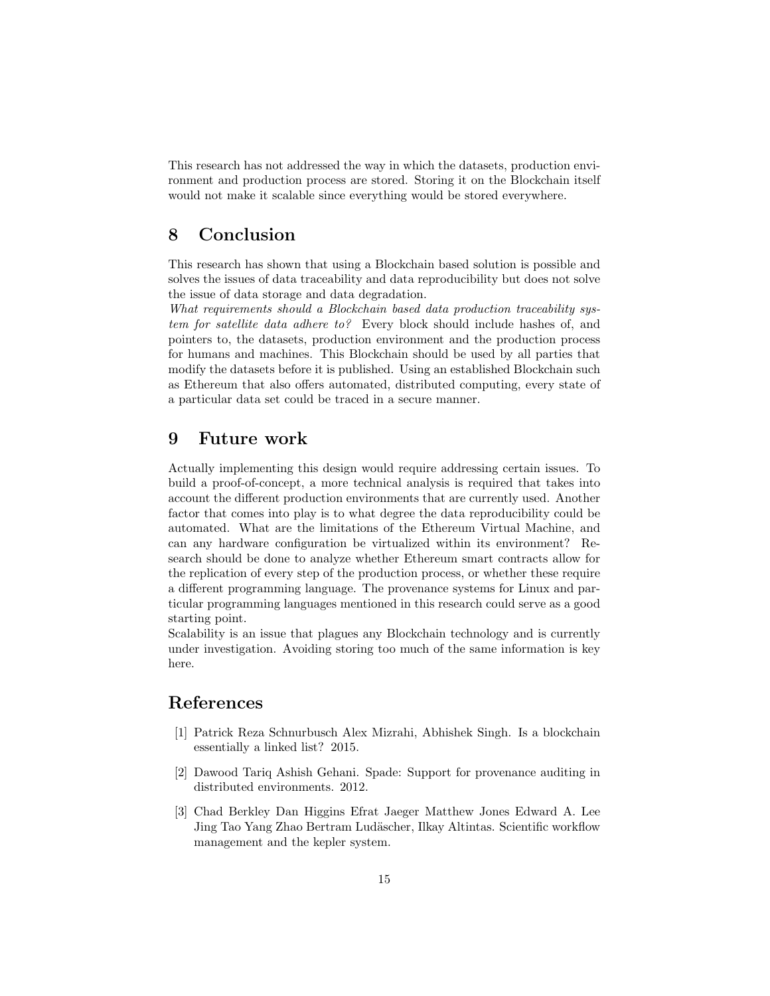This research has not addressed the way in which the datasets, production environment and production process are stored. Storing it on the Blockchain itself would not make it scalable since everything would be stored everywhere.

# 8 Conclusion

This research has shown that using a Blockchain based solution is possible and solves the issues of data traceability and data reproducibility but does not solve the issue of data storage and data degradation.

What requirements should a Blockchain based data production traceability system for satellite data adhere to? Every block should include hashes of, and pointers to, the datasets, production environment and the production process for humans and machines. This Blockchain should be used by all parties that modify the datasets before it is published. Using an established Blockchain such as Ethereum that also offers automated, distributed computing, every state of a particular data set could be traced in a secure manner.

## 9 Future work

Actually implementing this design would require addressing certain issues. To build a proof-of-concept, a more technical analysis is required that takes into account the different production environments that are currently used. Another factor that comes into play is to what degree the data reproducibility could be automated. What are the limitations of the Ethereum Virtual Machine, and can any hardware configuration be virtualized within its environment? Research should be done to analyze whether Ethereum smart contracts allow for the replication of every step of the production process, or whether these require a different programming language. The provenance systems for Linux and particular programming languages mentioned in this research could serve as a good starting point.

Scalability is an issue that plagues any Blockchain technology and is currently under investigation. Avoiding storing too much of the same information is key here.

# References

- [1] Patrick Reza Schnurbusch Alex Mizrahi, Abhishek Singh. Is a blockchain essentially a linked list? 2015.
- [2] Dawood Tariq Ashish Gehani. Spade: Support for provenance auditing in distributed environments. 2012.
- [3] Chad Berkley Dan Higgins Efrat Jaeger Matthew Jones Edward A. Lee Jing Tao Yang Zhao Bertram Lud¨ascher, Ilkay Altintas. Scientific workflow management and the kepler system.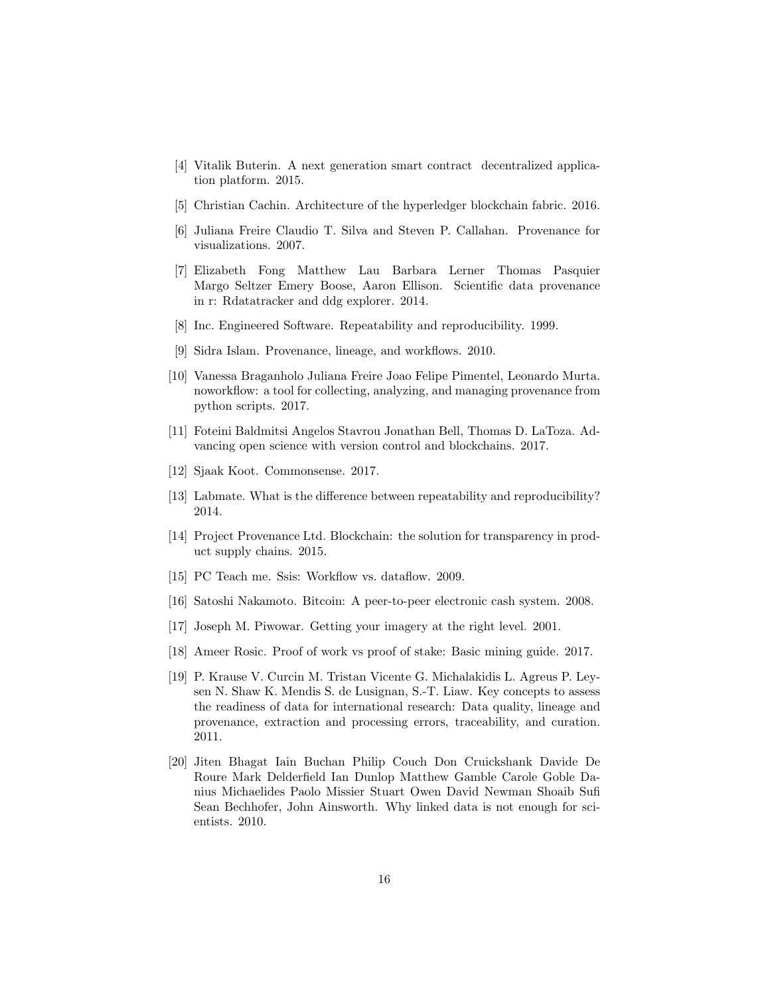- [4] Vitalik Buterin. A next generation smart contract decentralized application platform. 2015.
- [5] Christian Cachin. Architecture of the hyperledger blockchain fabric. 2016.
- [6] Juliana Freire Claudio T. Silva and Steven P. Callahan. Provenance for visualizations. 2007.
- [7] Elizabeth Fong Matthew Lau Barbara Lerner Thomas Pasquier Margo Seltzer Emery Boose, Aaron Ellison. Scientific data provenance in r: Rdatatracker and ddg explorer. 2014.
- [8] Inc. Engineered Software. Repeatability and reproducibility. 1999.
- [9] Sidra Islam. Provenance, lineage, and workflows. 2010.
- [10] Vanessa Braganholo Juliana Freire Joao Felipe Pimentel, Leonardo Murta. noworkflow: a tool for collecting, analyzing, and managing provenance from python scripts. 2017.
- [11] Foteini Baldmitsi Angelos Stavrou Jonathan Bell, Thomas D. LaToza. Advancing open science with version control and blockchains. 2017.
- [12] Sjaak Koot. Commonsense. 2017.
- [13] Labmate. What is the difference between repeatability and reproducibility? 2014.
- [14] Project Provenance Ltd. Blockchain: the solution for transparency in product supply chains. 2015.
- [15] PC Teach me. Ssis: Workflow vs. dataflow. 2009.
- [16] Satoshi Nakamoto. Bitcoin: A peer-to-peer electronic cash system. 2008.
- [17] Joseph M. Piwowar. Getting your imagery at the right level. 2001.
- [18] Ameer Rosic. Proof of work vs proof of stake: Basic mining guide. 2017.
- [19] P. Krause V. Curcin M. Tristan Vicente G. Michalakidis L. Agreus P. Leysen N. Shaw K. Mendis S. de Lusignan, S.-T. Liaw. Key concepts to assess the readiness of data for international research: Data quality, lineage and provenance, extraction and processing errors, traceability, and curation. 2011.
- [20] Jiten Bhagat Iain Buchan Philip Couch Don Cruickshank Davide De Roure Mark Delderfield Ian Dunlop Matthew Gamble Carole Goble Danius Michaelides Paolo Missier Stuart Owen David Newman Shoaib Sufi Sean Bechhofer, John Ainsworth. Why linked data is not enough for scientists. 2010.